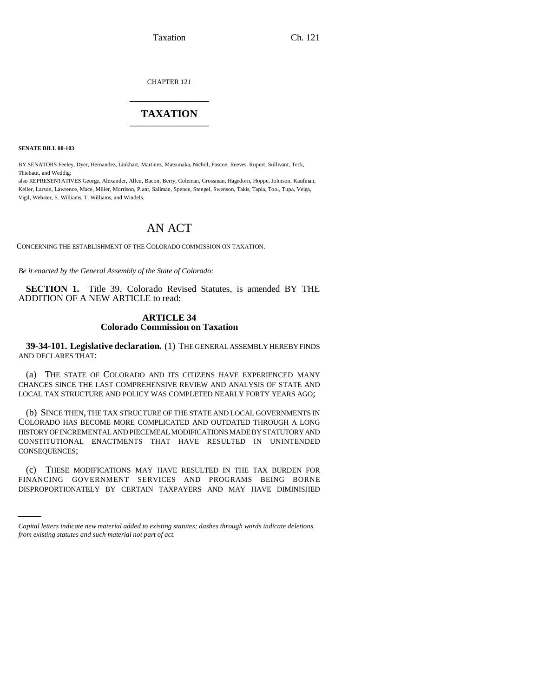Taxation Ch. 121

CHAPTER 121 \_\_\_\_\_\_\_\_\_\_\_\_\_\_\_

## **TAXATION** \_\_\_\_\_\_\_\_\_\_\_\_\_\_\_

**SENATE BILL 00-103** 

BY SENATORS Feeley, Dyer, Hernandez, Linkhart, Martinez, Matsunaka, Nichol, Pascoe, Reeves, Rupert, Sullivant, Teck, Thiebaut, and Weddig;

also REPRESENTATIVES George, Alexander, Allen, Bacon, Berry, Coleman, Grossman, Hagedorn, Hoppe, Johnson, Kaufman, Keller, Larson, Lawrence, Mace, Miller, Morrison, Plant, Saliman, Spence, Stengel, Swenson, Takis, Tapia, Tool, Tupa, Veiga, Vigil, Webster, S. Williams, T. Williams, and Windels.

# AN ACT

CONCERNING THE ESTABLISHMENT OF THE COLORADO COMMISSION ON TAXATION.

*Be it enacted by the General Assembly of the State of Colorado:*

**SECTION 1.** Title 39, Colorado Revised Statutes, is amended BY THE ADDITION OF A NEW ARTICLE to read:

#### **ARTICLE 34 Colorado Commission on Taxation**

**39-34-101. Legislative declaration.** (1) THE GENERAL ASSEMBLY HEREBY FINDS AND DECLARES THAT:

(a) THE STATE OF COLORADO AND ITS CITIZENS HAVE EXPERIENCED MANY CHANGES SINCE THE LAST COMPREHENSIVE REVIEW AND ANALYSIS OF STATE AND LOCAL TAX STRUCTURE AND POLICY WAS COMPLETED NEARLY FORTY YEARS AGO;

(b) SINCE THEN, THE TAX STRUCTURE OF THE STATE AND LOCAL GOVERNMENTS IN COLORADO HAS BECOME MORE COMPLICATED AND OUTDATED THROUGH A LONG HISTORY OF INCREMENTAL AND PIECEMEAL MODIFICATIONS MADE BY STATUTORY AND CONSTITUTIONAL ENACTMENTS THAT HAVE RESULTED IN UNINTENDED CONSEQUENCES;

(c) THESE MODIFICATIONS MAY HAVE RESULTED IN THE TAX BURDEN FOR FINANCING GOVERNMENT SERVICES AND PROGRAMS BEING BORNE DISPROPORTIONATELY BY CERTAIN TAXPAYERS AND MAY HAVE DIMINISHED

*Capital letters indicate new material added to existing statutes; dashes through words indicate deletions from existing statutes and such material not part of act.*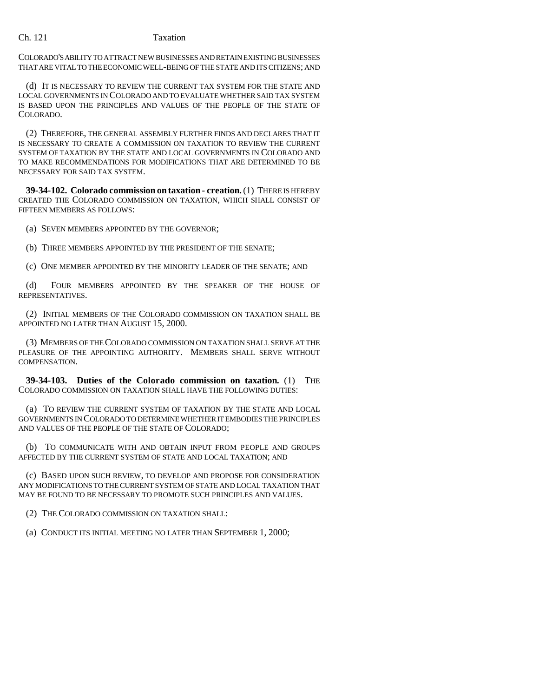### Ch. 121 Taxation

COLORADO'S ABILITY TO ATTRACT NEW BUSINESSES AND RETAIN EXISTING BUSINESSES THAT ARE VITAL TO THE ECONOMIC WELL-BEING OF THE STATE AND ITS CITIZENS; AND

(d) IT IS NECESSARY TO REVIEW THE CURRENT TAX SYSTEM FOR THE STATE AND LOCAL GOVERNMENTS IN COLORADO AND TO EVALUATE WHETHER SAID TAX SYSTEM IS BASED UPON THE PRINCIPLES AND VALUES OF THE PEOPLE OF THE STATE OF COLORADO.

(2) THEREFORE, THE GENERAL ASSEMBLY FURTHER FINDS AND DECLARES THAT IT IS NECESSARY TO CREATE A COMMISSION ON TAXATION TO REVIEW THE CURRENT SYSTEM OF TAXATION BY THE STATE AND LOCAL GOVERNMENTS IN COLORADO AND TO MAKE RECOMMENDATIONS FOR MODIFICATIONS THAT ARE DETERMINED TO BE NECESSARY FOR SAID TAX SYSTEM.

**39-34-102. Colorado commission on taxation - creation.** (1) THERE IS HEREBY CREATED THE COLORADO COMMISSION ON TAXATION, WHICH SHALL CONSIST OF FIFTEEN MEMBERS AS FOLLOWS:

(a) SEVEN MEMBERS APPOINTED BY THE GOVERNOR;

(b) THREE MEMBERS APPOINTED BY THE PRESIDENT OF THE SENATE;

(c) ONE MEMBER APPOINTED BY THE MINORITY LEADER OF THE SENATE; AND

(d) FOUR MEMBERS APPOINTED BY THE SPEAKER OF THE HOUSE OF REPRESENTATIVES.

(2) INITIAL MEMBERS OF THE COLORADO COMMISSION ON TAXATION SHALL BE APPOINTED NO LATER THAN AUGUST 15, 2000.

(3) MEMBERS OF THE COLORADO COMMISSION ON TAXATION SHALL SERVE AT THE PLEASURE OF THE APPOINTING AUTHORITY. MEMBERS SHALL SERVE WITHOUT COMPENSATION.

**39-34-103. Duties of the Colorado commission on taxation.** (1) THE COLORADO COMMISSION ON TAXATION SHALL HAVE THE FOLLOWING DUTIES:

(a) TO REVIEW THE CURRENT SYSTEM OF TAXATION BY THE STATE AND LOCAL GOVERNMENTS IN COLORADO TO DETERMINE WHETHER IT EMBODIES THE PRINCIPLES AND VALUES OF THE PEOPLE OF THE STATE OF COLORADO;

(b) TO COMMUNICATE WITH AND OBTAIN INPUT FROM PEOPLE AND GROUPS AFFECTED BY THE CURRENT SYSTEM OF STATE AND LOCAL TAXATION; AND

(c) BASED UPON SUCH REVIEW, TO DEVELOP AND PROPOSE FOR CONSIDERATION ANY MODIFICATIONS TO THE CURRENT SYSTEM OF STATE AND LOCAL TAXATION THAT MAY BE FOUND TO BE NECESSARY TO PROMOTE SUCH PRINCIPLES AND VALUES.

(2) THE COLORADO COMMISSION ON TAXATION SHALL:

(a) CONDUCT ITS INITIAL MEETING NO LATER THAN SEPTEMBER 1, 2000;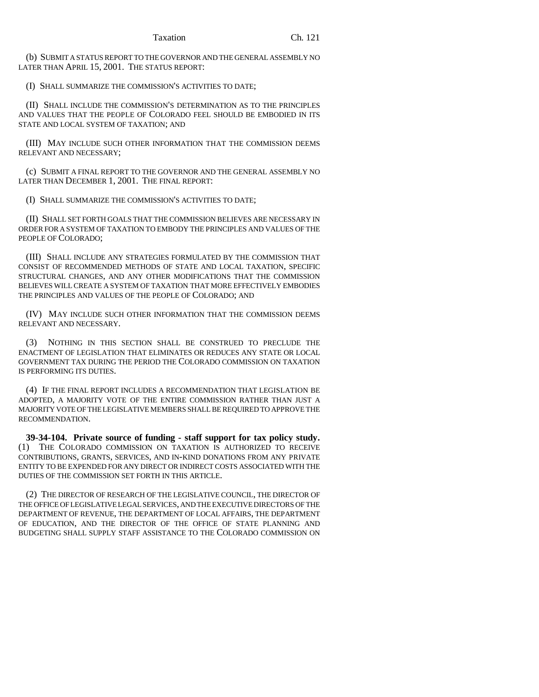(b) SUBMIT A STATUS REPORT TO THE GOVERNOR AND THE GENERAL ASSEMBLY NO LATER THAN APRIL 15, 2001. THE STATUS REPORT:

(I) SHALL SUMMARIZE THE COMMISSION'S ACTIVITIES TO DATE;

(II) SHALL INCLUDE THE COMMISSION'S DETERMINATION AS TO THE PRINCIPLES AND VALUES THAT THE PEOPLE OF COLORADO FEEL SHOULD BE EMBODIED IN ITS STATE AND LOCAL SYSTEM OF TAXATION; AND

(III) MAY INCLUDE SUCH OTHER INFORMATION THAT THE COMMISSION DEEMS RELEVANT AND NECESSARY;

(c) SUBMIT A FINAL REPORT TO THE GOVERNOR AND THE GENERAL ASSEMBLY NO LATER THAN DECEMBER 1, 2001. THE FINAL REPORT:

(I) SHALL SUMMARIZE THE COMMISSION'S ACTIVITIES TO DATE;

(II) SHALL SET FORTH GOALS THAT THE COMMISSION BELIEVES ARE NECESSARY IN ORDER FOR A SYSTEM OF TAXATION TO EMBODY THE PRINCIPLES AND VALUES OF THE PEOPLE OF COLORADO;

(III) SHALL INCLUDE ANY STRATEGIES FORMULATED BY THE COMMISSION THAT CONSIST OF RECOMMENDED METHODS OF STATE AND LOCAL TAXATION, SPECIFIC STRUCTURAL CHANGES, AND ANY OTHER MODIFICATIONS THAT THE COMMISSION BELIEVES WILL CREATE A SYSTEM OF TAXATION THAT MORE EFFECTIVELY EMBODIES THE PRINCIPLES AND VALUES OF THE PEOPLE OF COLORADO; AND

(IV) MAY INCLUDE SUCH OTHER INFORMATION THAT THE COMMISSION DEEMS RELEVANT AND NECESSARY.

(3) NOTHING IN THIS SECTION SHALL BE CONSTRUED TO PRECLUDE THE ENACTMENT OF LEGISLATION THAT ELIMINATES OR REDUCES ANY STATE OR LOCAL GOVERNMENT TAX DURING THE PERIOD THE COLORADO COMMISSION ON TAXATION IS PERFORMING ITS DUTIES.

(4) IF THE FINAL REPORT INCLUDES A RECOMMENDATION THAT LEGISLATION BE ADOPTED, A MAJORITY VOTE OF THE ENTIRE COMMISSION RATHER THAN JUST A MAJORITY VOTE OF THE LEGISLATIVE MEMBERS SHALL BE REQUIRED TO APPROVE THE RECOMMENDATION.

**39-34-104. Private source of funding - staff support for tax policy study.** (1) THE COLORADO COMMISSION ON TAXATION IS AUTHORIZED TO RECEIVE CONTRIBUTIONS, GRANTS, SERVICES, AND IN-KIND DONATIONS FROM ANY PRIVATE ENTITY TO BE EXPENDED FOR ANY DIRECT OR INDIRECT COSTS ASSOCIATED WITH THE DUTIES OF THE COMMISSION SET FORTH IN THIS ARTICLE.

(2) THE DIRECTOR OF RESEARCH OF THE LEGISLATIVE COUNCIL, THE DIRECTOR OF THE OFFICE OF LEGISLATIVE LEGAL SERVICES, AND THE EXECUTIVE DIRECTORS OF THE DEPARTMENT OF REVENUE, THE DEPARTMENT OF LOCAL AFFAIRS, THE DEPARTMENT OF EDUCATION, AND THE DIRECTOR OF THE OFFICE OF STATE PLANNING AND BUDGETING SHALL SUPPLY STAFF ASSISTANCE TO THE COLORADO COMMISSION ON